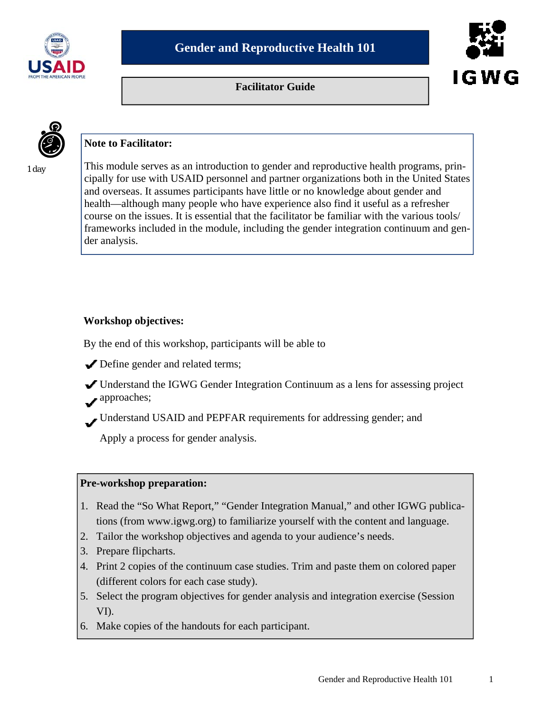

**Facilitator Guide** 



1 day

# **Note to Facilitator:**

This module serves as an introduction to gender and reproductive health programs, principally for use with USAID personnel and partner organizations both in the United States and overseas. It assumes participants have little or no knowledge about gender and health—although many people who have experience also find it useful as a refresher course on the issues. It is essential that the facilitator be familiar with the various tools/ frameworks included in the module, including the gender integration continuum and gender analysis.

# **Workshop objectives:**

By the end of this workshop, participants will be able to

- Define gender and related terms;
- Understand the IGWG Gender Integration Continuum as a lens for assessing project approaches;
- Understand USAID and PEPFAR requirements for addressing gender; and

Apply a process for gender analysis.

# **Pre-workshop preparation:**

- 1. Read the "So What Report," "Gender Integration Manual," and other IGWG publications (from www.igwg.org) to familiarize yourself with the content and language.
- 2. Tailor the workshop objectives and agenda to your audience's needs.
- 3. Prepare flipcharts.
- 4. Print 2 copies of the continuum case studies. Trim and paste them on colored paper (different colors for each case study).
- 5. Select the program objectives for gender analysis and integration exercise (Session VI).
- 6. Make copies of the handouts for each participant.

IGWG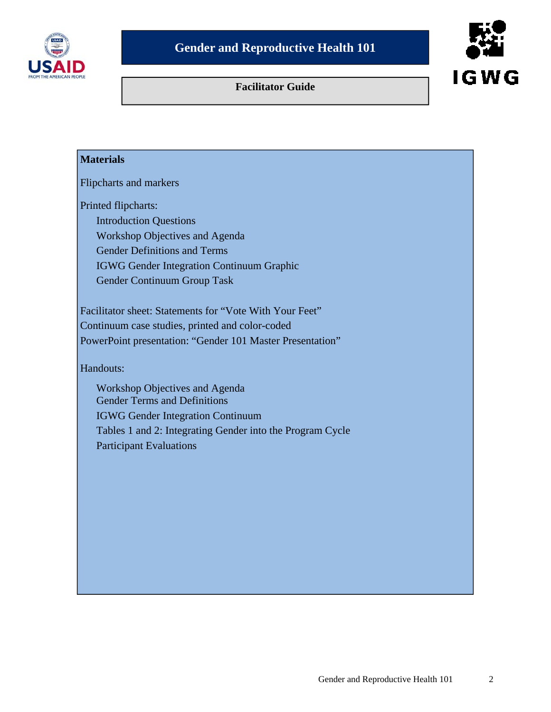

# **Facilitator Guide**



# **Materials**

Flipcharts and markers

Printed flipcharts:

 Introduction Questions Workshop Objectives and Agenda Gender Definitions and Terms IGWG Gender Integration Continuum Graphic Gender Continuum Group Task

Facilitator sheet: Statements for "Vote With Your Feet" Continuum case studies, printed and color-coded PowerPoint presentation: "Gender 101 Master Presentation"

Handouts:

 Workshop Objectives and Agenda Gender Terms and Definitions IGWG Gender Integration Continuum Tables 1 and 2: Integrating Gender into the Program Cycle Participant Evaluations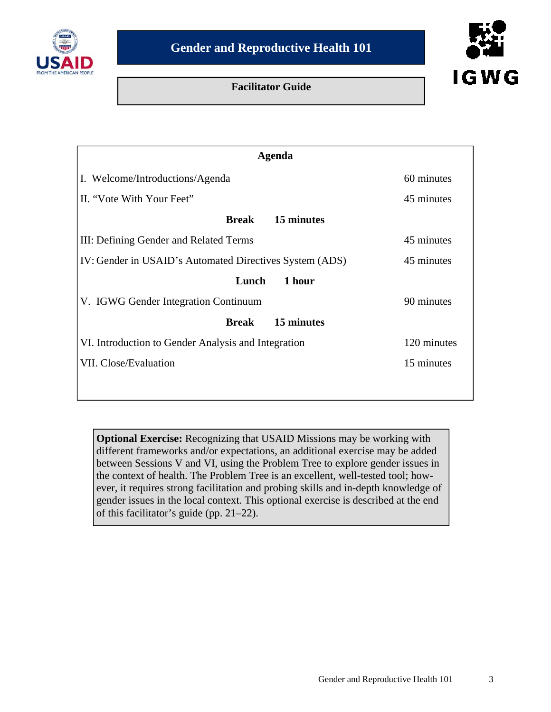

# **Facilitator Guide**



| <b>Agenda</b>                                           |             |
|---------------------------------------------------------|-------------|
| I. Welcome/Introductions/Agenda                         | 60 minutes  |
| II. "Vote With Your Feet"                               | 45 minutes  |
| 15 minutes<br>Break                                     |             |
| III: Defining Gender and Related Terms                  | 45 minutes  |
| IV: Gender in USAID's Automated Directives System (ADS) | 45 minutes  |
| 1 hour<br>Lunch                                         |             |
| V. IGWG Gender Integration Continuum                    | 90 minutes  |
| 15 minutes<br><b>Break</b>                              |             |
| VI. Introduction to Gender Analysis and Integration     | 120 minutes |
| VII. Close/Evaluation                                   | 15 minutes  |
|                                                         |             |

**Optional Exercise:** Recognizing that USAID Missions may be working with different frameworks and/or expectations, an additional exercise may be added between Sessions V and VI, using the Problem Tree to explore gender issues in the context of health. The Problem Tree is an excellent, well-tested tool; however, it requires strong facilitation and probing skills and in-depth knowledge of gender issues in the local context. This optional exercise is described at the end of this facilitator's guide (pp. 21–22).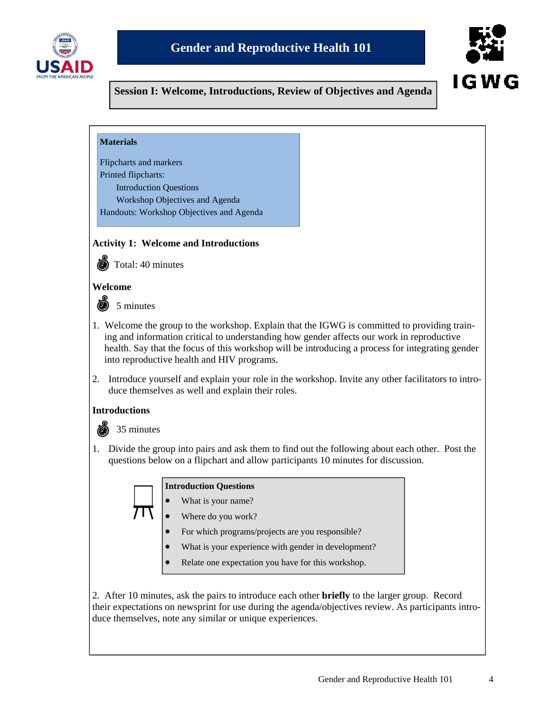



**Session I: Welcome, Introductions, Review of Objectives and Agenda** 

| <b>Materials</b> |
|------------------|
|------------------|

Flipcharts and markers Printed flipcharts: Introduction Questions Workshop Objectives and Agenda

Handouts: Workshop Objectives and Agenda

#### **Activity 1: Welcome and Introductions**



Total: 40 minutes

#### **Welcome**

@ 5 minutes

- 1. Welcome the group to the workshop. Explain that the IGWG is committed to providing training and information critical to understanding how gender affects our work in reproductive health. Say that the focus of this workshop will be introducing a process for integrating gender into reproductive health and HIV programs.
- 2. Introduce yourself and explain your role in the workshop. Invite any other facilitators to introduce themselves as well and explain their roles.

#### **Introductions**



1. Divide the group into pairs and ask them to find out the following about each other. Post the questions below on a flipchart and allow participants 10 minutes for discussion.

|  | <b>Introduction Questions</b> |  |
|--|-------------------------------|--|
|--|-------------------------------|--|

- What is your name?
- Where do you work?
	- For which programs/projects are you responsible?
	- What is your experience with gender in development?
	- Relate one expectation you have for this workshop.

2. After 10 minutes, ask the pairs to introduce each other **briefly** to the larger group. Record their expectations on newsprint for use during the agenda/objectives review. As participants introduce themselves, note any similar or unique experiences.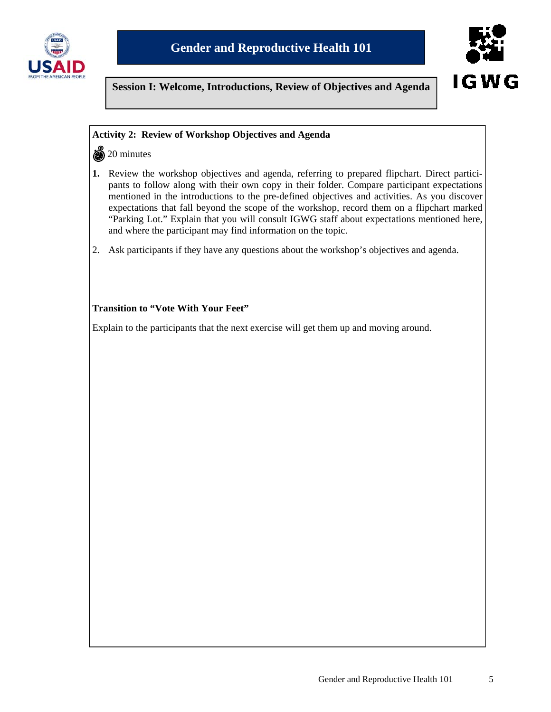



**Session I: Welcome, Introductions, Review of Objectives and Agenda** 

### **Activity 2: Review of Workshop Objectives and Agenda**

 $\frac{5}{20}$  minutes

- **1.** Review the workshop objectives and agenda, referring to prepared flipchart. Direct participants to follow along with their own copy in their folder. Compare participant expectations mentioned in the introductions to the pre-defined objectives and activities. As you discover expectations that fall beyond the scope of the workshop, record them on a flipchart marked "Parking Lot." Explain that you will consult IGWG staff about expectations mentioned here, and where the participant may find information on the topic.
- 2. Ask participants if they have any questions about the workshop's objectives and agenda.

## **Transition to "Vote With Your Feet"**

Explain to the participants that the next exercise will get them up and moving around.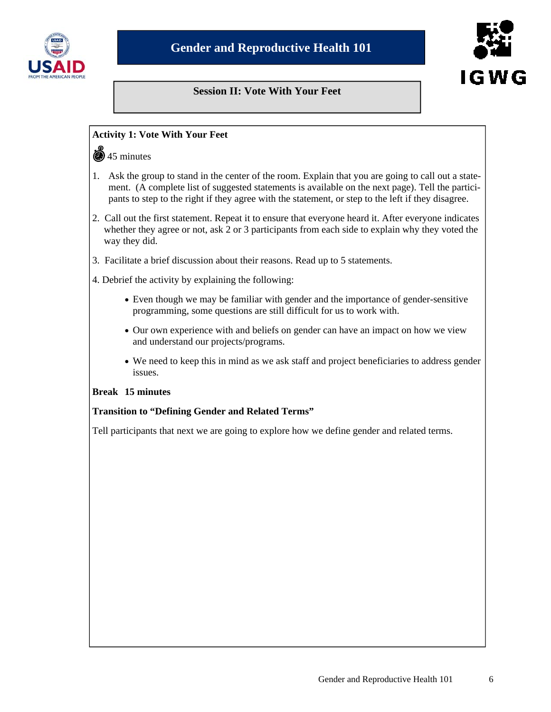

# **Session II: Vote With Your Feet**



#### **Activity 1: Vote With Your Feet**

#### **45 minutes**

- 1. Ask the group to stand in the center of the room. Explain that you are going to call out a statement. (A complete list of suggested statements is available on the next page). Tell the participants to step to the right if they agree with the statement, or step to the left if they disagree.
- 2. Call out the first statement. Repeat it to ensure that everyone heard it. After everyone indicates whether they agree or not, ask 2 or 3 participants from each side to explain why they voted the way they did.
- 3. Facilitate a brief discussion about their reasons. Read up to 5 statements.
- 4. Debrief the activity by explaining the following:
	- Even though we may be familiar with gender and the importance of gender-sensitive programming, some questions are still difficult for us to work with.
	- Our own experience with and beliefs on gender can have an impact on how we view and understand our projects/programs.
	- We need to keep this in mind as we ask staff and project beneficiaries to address gender issues.

#### **Break 15 minutes**

#### **Transition to "Defining Gender and Related Terms"**

Tell participants that next we are going to explore how we define gender and related terms.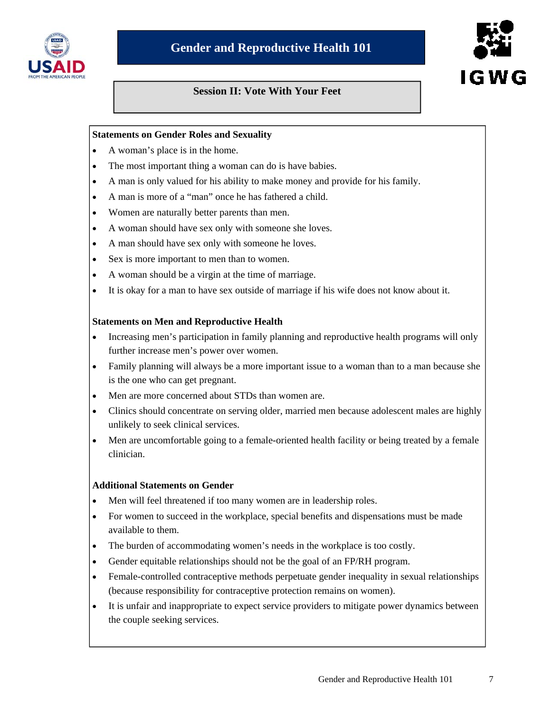

# **Session II: Vote With Your Feet**

# **Statements on Gender Roles and Sexuality**

- A woman's place is in the home.
- The most important thing a woman can do is have babies.
- A man is only valued for his ability to make money and provide for his family.
- A man is more of a "man" once he has fathered a child.
- Women are naturally better parents than men.
- A woman should have sex only with someone she loves.
- A man should have sex only with someone he loves.
- Sex is more important to men than to women.
- A woman should be a virgin at the time of marriage.
- It is okay for a man to have sex outside of marriage if his wife does not know about it.

#### **Statements on Men and Reproductive Health**

- Increasing men's participation in family planning and reproductive health programs will only further increase men's power over women.
- Family planning will always be a more important issue to a woman than to a man because she is the one who can get pregnant.
- Men are more concerned about STDs than women are.
- Clinics should concentrate on serving older, married men because adolescent males are highly unlikely to seek clinical services.
- Men are uncomfortable going to a female-oriented health facility or being treated by a female clinician.

#### **Additional Statements on Gender**

- Men will feel threatened if too many women are in leadership roles.
- For women to succeed in the workplace, special benefits and dispensations must be made available to them.
- The burden of accommodating women's needs in the workplace is too costly.
- Gender equitable relationships should not be the goal of an FP/RH program.
- Female-controlled contraceptive methods perpetuate gender inequality in sexual relationships (because responsibility for contraceptive protection remains on women).
- It is unfair and inappropriate to expect service providers to mitigate power dynamics between the couple seeking services.

IGWG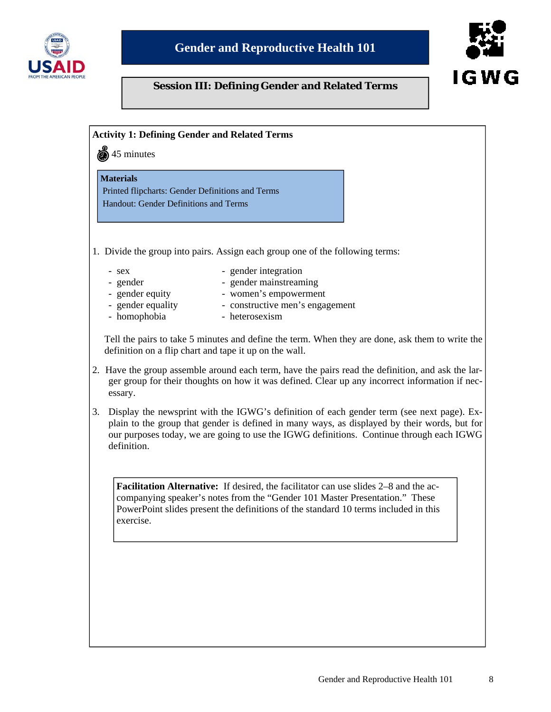



# **Session III: Defining Gender and Related Terms**

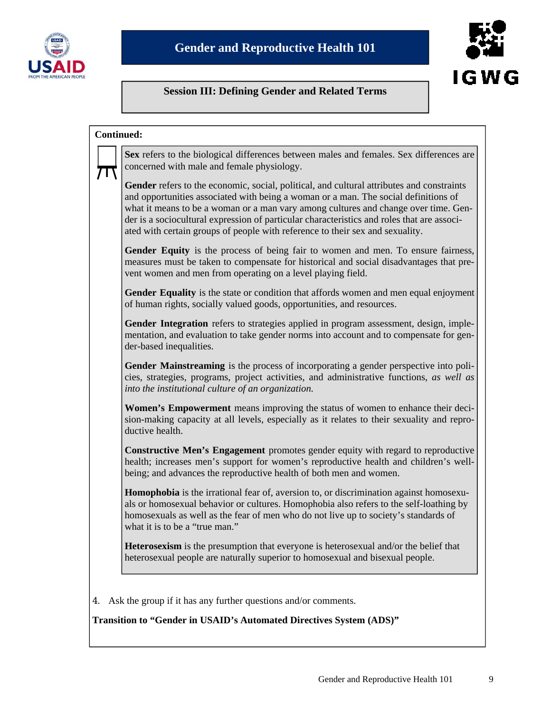



# **Session III: Defining Gender and Related Terms**

| <b>Continued:</b>                                                                                                                                                                                                                                                                                                                                                                                                                                      |
|--------------------------------------------------------------------------------------------------------------------------------------------------------------------------------------------------------------------------------------------------------------------------------------------------------------------------------------------------------------------------------------------------------------------------------------------------------|
| Sex refers to the biological differences between males and females. Sex differences are<br>concerned with male and female physiology.                                                                                                                                                                                                                                                                                                                  |
| Gender refers to the economic, social, political, and cultural attributes and constraints<br>and opportunities associated with being a woman or a man. The social definitions of<br>what it means to be a woman or a man vary among cultures and change over time. Gen-<br>der is a sociocultural expression of particular characteristics and roles that are associ-<br>ated with certain groups of people with reference to their sex and sexuality. |
| Gender Equity is the process of being fair to women and men. To ensure fairness,<br>measures must be taken to compensate for historical and social disadvantages that pre-<br>vent women and men from operating on a level playing field.                                                                                                                                                                                                              |
| Gender Equality is the state or condition that affords women and men equal enjoyment<br>of human rights, socially valued goods, opportunities, and resources.                                                                                                                                                                                                                                                                                          |
| Gender Integration refers to strategies applied in program assessment, design, imple-<br>mentation, and evaluation to take gender norms into account and to compensate for gen-<br>der-based inequalities.                                                                                                                                                                                                                                             |
| Gender Mainstreaming is the process of incorporating a gender perspective into poli-<br>cies, strategies, programs, project activities, and administrative functions, as well as<br>into the institutional culture of an organization.                                                                                                                                                                                                                 |
| <b>Women's Empowerment</b> means improving the status of women to enhance their deci-<br>sion-making capacity at all levels, especially as it relates to their sexuality and repro-<br>ductive health.                                                                                                                                                                                                                                                 |
| <b>Constructive Men's Engagement</b> promotes gender equity with regard to reproductive<br>health; increases men's support for women's reproductive health and children's well-<br>being; and advances the reproductive health of both men and women.                                                                                                                                                                                                  |
| <b>Homophobia</b> is the irrational fear of, aversion to, or discrimination against homosexu-<br>als or homosexual behavior or cultures. Homophobia also refers to the self-loathing by<br>homosexuals as well as the fear of men who do not live up to society's standards of<br>what it is to be a "true man."                                                                                                                                       |
| <b>Heterosexism</b> is the presumption that everyone is heterosexual and/or the belief that<br>heterosexual people are naturally superior to homosexual and bisexual people.                                                                                                                                                                                                                                                                           |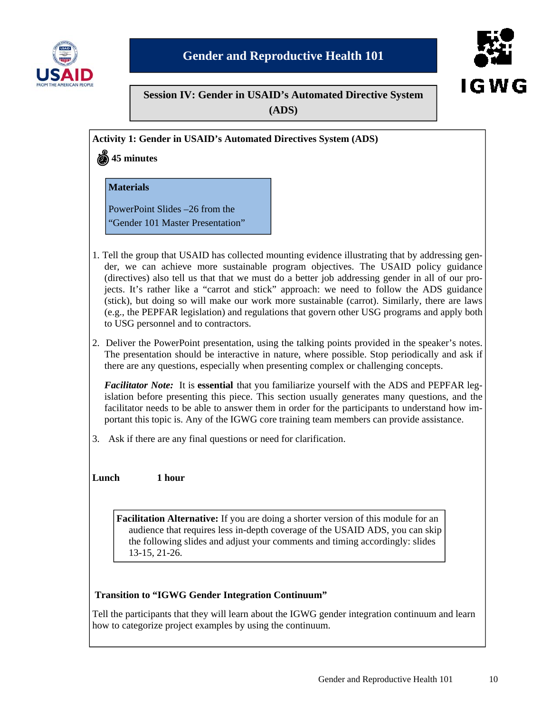



**Session IV: Gender in USAID's Automated Directive System** 

**(ADS)**

**Activity 1: Gender in USAID's Automated Directives System (ADS)** 

**45 minutes** 

**Materials** 

PowerPoint Slides –26 from the "Gender 101 Master Presentation"

- 1. Tell the group that USAID has collected mounting evidence illustrating that by addressing gender, we can achieve more sustainable program objectives. The USAID policy guidance (directives) also tell us that that we must do a better job addressing gender in all of our projects. It's rather like a "carrot and stick" approach: we need to follow the ADS guidance (stick), but doing so will make our work more sustainable (carrot). Similarly, there are laws (e.g., the PEPFAR legislation) and regulations that govern other USG programs and apply both to USG personnel and to contractors.
- 2. Deliver the PowerPoint presentation, using the talking points provided in the speaker's notes. The presentation should be interactive in nature, where possible. Stop periodically and ask if there are any questions, especially when presenting complex or challenging concepts.

*Facilitator Note:* It is **essential** that you familiarize yourself with the ADS and PEPFAR legislation before presenting this piece. This section usually generates many questions, and the facilitator needs to be able to answer them in order for the participants to understand how important this topic is. Any of the IGWG core training team members can provide assistance.

3. Ask if there are any final questions or need for clarification.

**Lunch 1 hour** 

**Facilitation Alternative:** If you are doing a shorter version of this module for an audience that requires less in-depth coverage of the USAID ADS, you can skip the following slides and adjust your comments and timing accordingly: slides 13-15, 21-26.

# **Transition to "IGWG Gender Integration Continuum"**

Tell the participants that they will learn about the IGWG gender integration continuum and learn how to categorize project examples by using the continuum.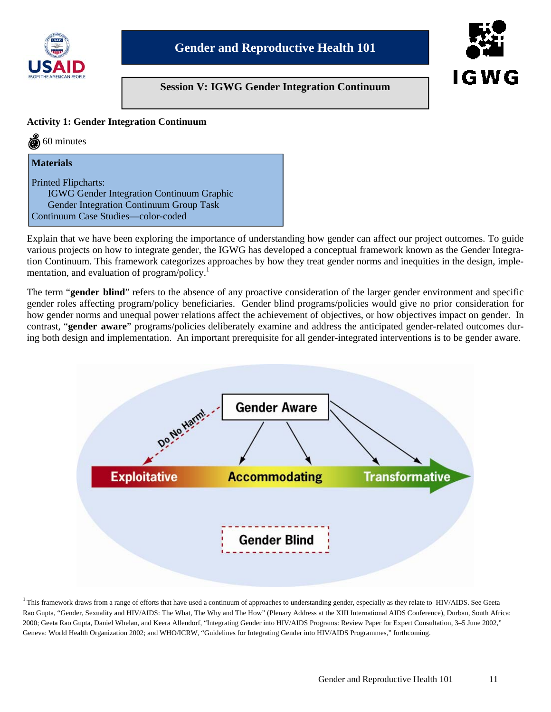

# **Session V: IGWG Gender Integration Continuum**



### **Activity 1: Gender Integration Continuum**

 $\ddot{\bullet}$  60 minutes

#### **Materials**

Printed Flipcharts: IGWG Gender Integration Continuum Graphic Gender Integration Continuum Group Task Continuum Case Studies—color-coded

Explain that we have been exploring the importance of understanding how gender can affect our project outcomes. To guide various projects on how to integrate gender, the IGWG has developed a conceptual framework known as the Gender Integration Continuum. This framework categorizes approaches by how they treat gender norms and inequities in the design, implementation, and evaluation of program/policy.<sup>1</sup>

The term "**gender blind**" refers to the absence of any proactive consideration of the larger gender environment and specific gender roles affecting program/policy beneficiaries. Gender blind programs/policies would give no prior consideration for how gender norms and unequal power relations affect the achievement of objectives, or how objectives impact on gender. In contrast, "**gender aware**" programs/policies deliberately examine and address the anticipated gender-related outcomes during both design and implementation. An important prerequisite for all gender-integrated interventions is to be gender aware.



 $1$  This framework draws from a range of efforts that have used a continuum of approaches to understanding gender, especially as they relate to HIV/AIDS. See Geeta Rao Gupta, "Gender, Sexuality and HIV/AIDS: The What, The Why and The How" (Plenary Address at the XIII International AIDS Conference), Durban, South Africa: 2000; Geeta Rao Gupta, Daniel Whelan, and Keera Allendorf, "Integrating Gender into HIV/AIDS Programs: Review Paper for Expert Consultation, 3–5 June 2002," Geneva: World Health Organization 2002; and WHO/ICRW, "Guidelines for Integrating Gender into HIV/AIDS Programmes," forthcoming.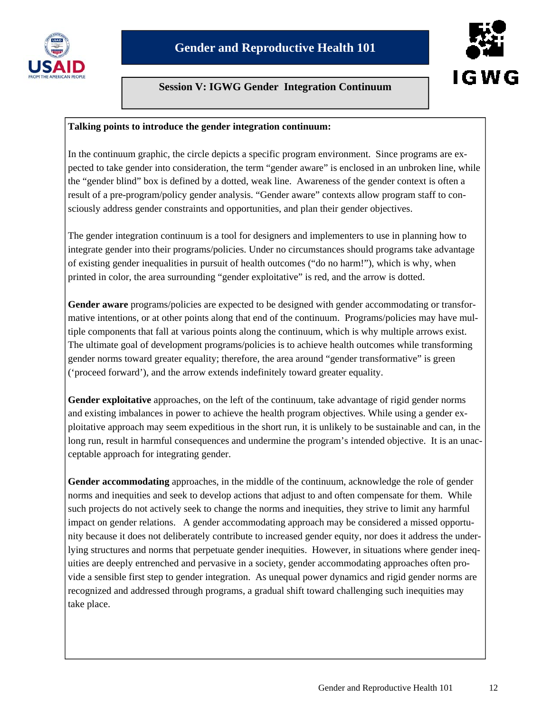

# **Session V: IGWG Gender Integration Continuum**



#### **Talking points to introduce the gender integration continuum:**

In the continuum graphic, the circle depicts a specific program environment. Since programs are expected to take gender into consideration, the term "gender aware" is enclosed in an unbroken line, while the "gender blind" box is defined by a dotted, weak line. Awareness of the gender context is often a result of a pre-program/policy gender analysis. "Gender aware" contexts allow program staff to consciously address gender constraints and opportunities, and plan their gender objectives.

The gender integration continuum is a tool for designers and implementers to use in planning how to integrate gender into their programs/policies. Under no circumstances should programs take advantage of existing gender inequalities in pursuit of health outcomes ("do no harm!"), which is why, when printed in color, the area surrounding "gender exploitative" is red, and the arrow is dotted.

**Gender aware** programs/policies are expected to be designed with gender accommodating or transformative intentions, or at other points along that end of the continuum. Programs/policies may have multiple components that fall at various points along the continuum, which is why multiple arrows exist. The ultimate goal of development programs/policies is to achieve health outcomes while transforming gender norms toward greater equality; therefore, the area around "gender transformative" is green ('proceed forward'), and the arrow extends indefinitely toward greater equality.

**Gender exploitative** approaches, on the left of the continuum, take advantage of rigid gender norms and existing imbalances in power to achieve the health program objectives. While using a gender exploitative approach may seem expeditious in the short run, it is unlikely to be sustainable and can, in the long run, result in harmful consequences and undermine the program's intended objective. It is an unacceptable approach for integrating gender.

**Gender accommodating** approaches, in the middle of the continuum, acknowledge the role of gender norms and inequities and seek to develop actions that adjust to and often compensate for them. While such projects do not actively seek to change the norms and inequities, they strive to limit any harmful impact on gender relations. A gender accommodating approach may be considered a missed opportunity because it does not deliberately contribute to increased gender equity, nor does it address the underlying structures and norms that perpetuate gender inequities. However, in situations where gender inequities are deeply entrenched and pervasive in a society, gender accommodating approaches often provide a sensible first step to gender integration. As unequal power dynamics and rigid gender norms are recognized and addressed through programs, a gradual shift toward challenging such inequities may take place.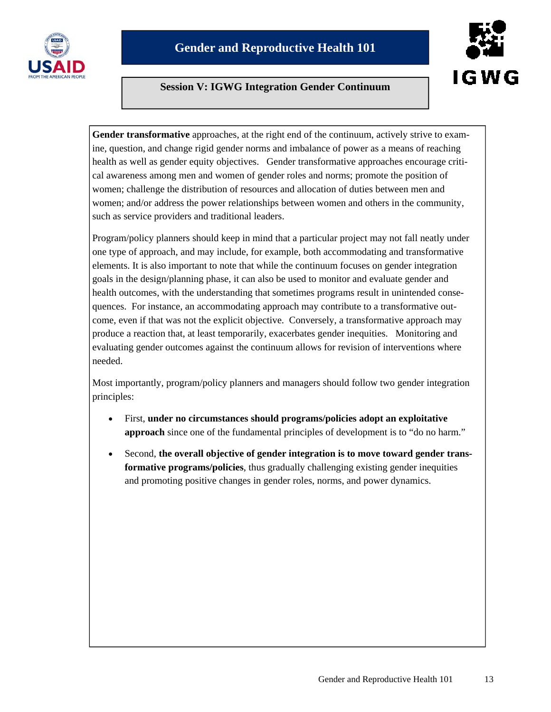

# I G W G

# **Session V: IGWG Integration Gender Continuum**

Gender transformative approaches, at the right end of the continuum, actively strive to examine, question, and change rigid gender norms and imbalance of power as a means of reaching health as well as gender equity objectives. Gender transformative approaches encourage critical awareness among men and women of gender roles and norms; promote the position of women; challenge the distribution of resources and allocation of duties between men and women; and/or address the power relationships between women and others in the community, such as service providers and traditional leaders.

Program/policy planners should keep in mind that a particular project may not fall neatly under one type of approach, and may include, for example, both accommodating and transformative elements. It is also important to note that while the continuum focuses on gender integration goals in the design/planning phase, it can also be used to monitor and evaluate gender and health outcomes, with the understanding that sometimes programs result in unintended consequences. For instance, an accommodating approach may contribute to a transformative outcome, even if that was not the explicit objective. Conversely, a transformative approach may produce a reaction that, at least temporarily, exacerbates gender inequities. Monitoring and evaluating gender outcomes against the continuum allows for revision of interventions where needed.

Most importantly, program/policy planners and managers should follow two gender integration principles:

- First, **under no circumstances should programs/policies adopt an exploitative approach** since one of the fundamental principles of development is to "do no harm."
- Second, **the overall objective of gender integration is to move toward gender transformative programs/policies**, thus gradually challenging existing gender inequities and promoting positive changes in gender roles, norms, and power dynamics.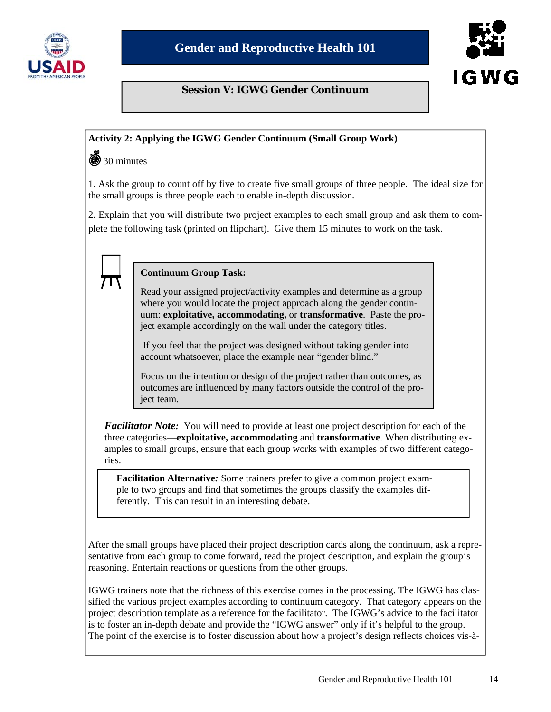

# I G W G

# **Session V: IGWG Gender Continuum**

# **Activity 2: Applying the IGWG Gender Continuum (Small Group Work)**

 $\circledcirc$  30 minutes

1. Ask the group to count off by five to create five small groups of three people. The ideal size for the small groups is three people each to enable in-depth discussion.

2. Explain that you will distribute two project examples to each small group and ask them to complete the following task (printed on flipchart). Give them 15 minutes to work on the task.

#### **Continuum Group Task:**

Read your assigned project/activity examples and determine as a group where you would locate the project approach along the gender continuum: **exploitative, accommodating,** or **transformative**. Paste the project example accordingly on the wall under the category titles.

 If you feel that the project was designed without taking gender into account whatsoever, place the example near "gender blind."

Focus on the intention or design of the project rather than outcomes, as outcomes are influenced by many factors outside the control of the project team.

*Facilitator Note:* You will need to provide at least one project description for each of the three categories—**exploitative, accommodating** and **transformative**. When distributing examples to small groups, ensure that each group works with examples of two different categories.

**Facilitation Alternative***:* Some trainers prefer to give a common project example to two groups and find that sometimes the groups classify the examples differently. This can result in an interesting debate.

After the small groups have placed their project description cards along the continuum, ask a representative from each group to come forward, read the project description, and explain the group's reasoning. Entertain reactions or questions from the other groups.

IGWG trainers note that the richness of this exercise comes in the processing. The IGWG has classified the various project examples according to continuum category. That category appears on the project description template as a reference for the facilitator. The IGWG's advice to the facilitator is to foster an in-depth debate and provide the "IGWG answer" only if it's helpful to the group. The point of the exercise is to foster discussion about how a project's design reflects choices vis-à-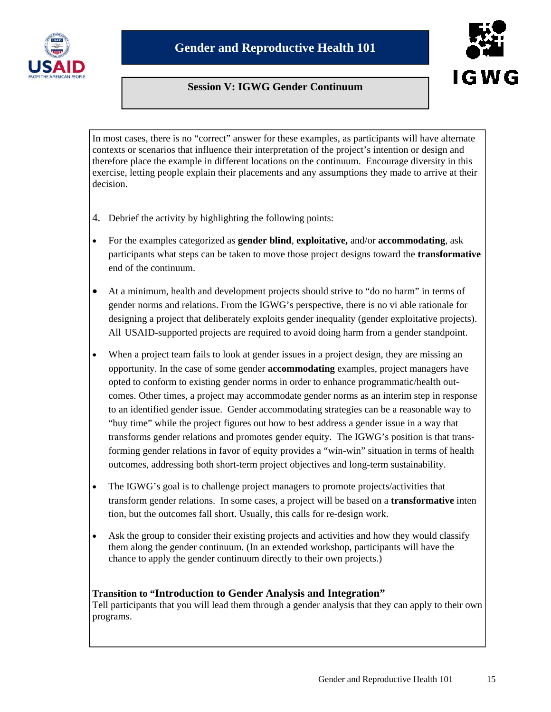

# **Session V: IGWG Gender Continuum**

I G W G

In most cases, there is no "correct" answer for these examples, as participants will have alternate contexts or scenarios that influence their interpretation of the project's intention or design and therefore place the example in different locations on the continuum. Encourage diversity in this exercise, letting people explain their placements and any assumptions they made to arrive at their decision.

- 4. Debrief the activity by highlighting the following points:
- For the examples categorized as **gender blind**, **exploitative,** and/or **accommodating**, ask participants what steps can be taken to move those project designs toward the **transformative** end of the continuum.
- At a minimum, health and development projects should strive to "do no harm" in terms of gender norms and relations. From the IGWG's perspective, there is no vi able rationale for designing a project that deliberately exploits gender inequality (gender exploitative projects). All USAID-supported projects are required to avoid doing harm from a gender standpoint.
- When a project team fails to look at gender issues in a project design, they are missing an opportunity. In the case of some gender **accommodating** examples, project managers have opted to conform to existing gender norms in order to enhance programmatic/health outcomes. Other times, a project may accommodate gender norms as an interim step in response to an identified gender issue. Gender accommodating strategies can be a reasonable way to "buy time" while the project figures out how to best address a gender issue in a way that transforms gender relations and promotes gender equity. The IGWG's position is that transforming gender relations in favor of equity provides a "win-win" situation in terms of health outcomes, addressing both short-term project objectives and long-term sustainability.
- The IGWG's goal is to challenge project managers to promote projects/activities that transform gender relations. In some cases, a project will be based on a **transformative** inten tion, but the outcomes fall short. Usually, this calls for re-design work.
- Ask the group to consider their existing projects and activities and how they would classify them along the gender continuum. (In an extended workshop, participants will have the chance to apply the gender continuum directly to their own projects.)

# **Transition to "Introduction to Gender Analysis and Integration"**

Tell participants that you will lead them through a gender analysis that they can apply to their own programs.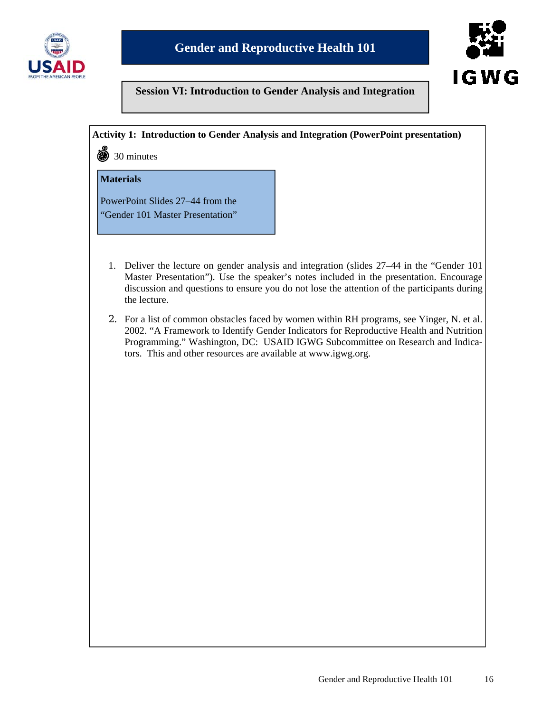



#### **Activity 1: Introduction to Gender Analysis and Integration (PowerPoint presentation)**

30 minutes

### **Materials**

PowerPoint Slides 27–44 from the "Gender 101 Master Presentation"

- 1. Deliver the lecture on gender analysis and integration (slides 27–44 in the "Gender 101 Master Presentation"). Use the speaker's notes included in the presentation. Encourage discussion and questions to ensure you do not lose the attention of the participants during the lecture.
- 2. For a list of common obstacles faced by women within RH programs, see Yinger, N. et al. 2002. "A Framework to Identify Gender Indicators for Reproductive Health and Nutrition Programming." Washington, DC: USAID IGWG Subcommittee on Research and Indicators. This and other resources are available at www.igwg.org.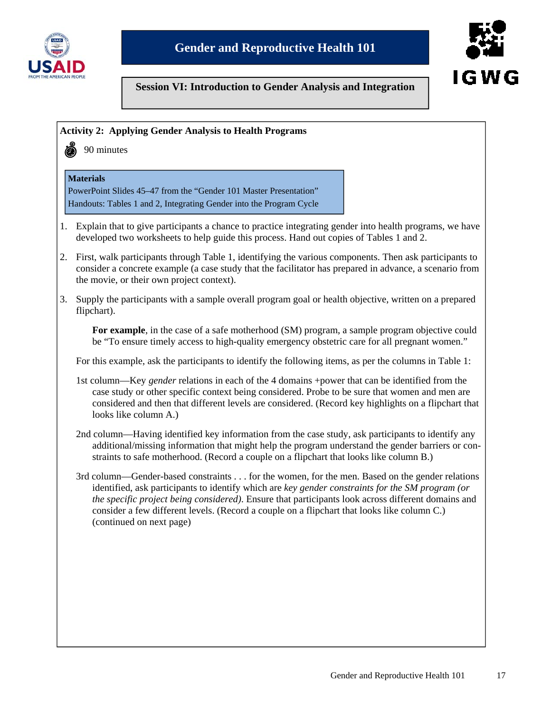



#### **Activity 2: Applying Gender Analysis to Health Programs**



# 90 minutes

#### **Materials**

PowerPoint Slides 45–47 from the "Gender 101 Master Presentation" Handouts: Tables 1 and 2, Integrating Gender into the Program Cycle

- 1. Explain that to give participants a chance to practice integrating gender into health programs, we have developed two worksheets to help guide this process. Hand out copies of Tables 1 and 2.
- 2. First, walk participants through Table 1, identifying the various components. Then ask participants to consider a concrete example (a case study that the facilitator has prepared in advance, a scenario from the movie, or their own project context).
- 3. Supply the participants with a sample overall program goal or health objective, written on a prepared flipchart).

**For example**, in the case of a safe motherhood (SM) program, a sample program objective could be "To ensure timely access to high-quality emergency obstetric care for all pregnant women."

For this example, ask the participants to identify the following items, as per the columns in Table 1:

- 1st column—Key *gender* relations in each of the 4 domains +power that can be identified from the case study or other specific context being considered. Probe to be sure that women and men are considered and then that different levels are considered. (Record key highlights on a flipchart that looks like column A.)
- 2nd column—Having identified key information from the case study, ask participants to identify any additional/missing information that might help the program understand the gender barriers or constraints to safe motherhood. (Record a couple on a flipchart that looks like column B.)
- 3rd column—Gender-based constraints . . . for the women, for the men. Based on the gender relations identified, ask participants to identify which are *key gender constraints for the SM program (or the specific project being considered)*. Ensure that participants look across different domains and consider a few different levels. (Record a couple on a flipchart that looks like column C.) (continued on next page)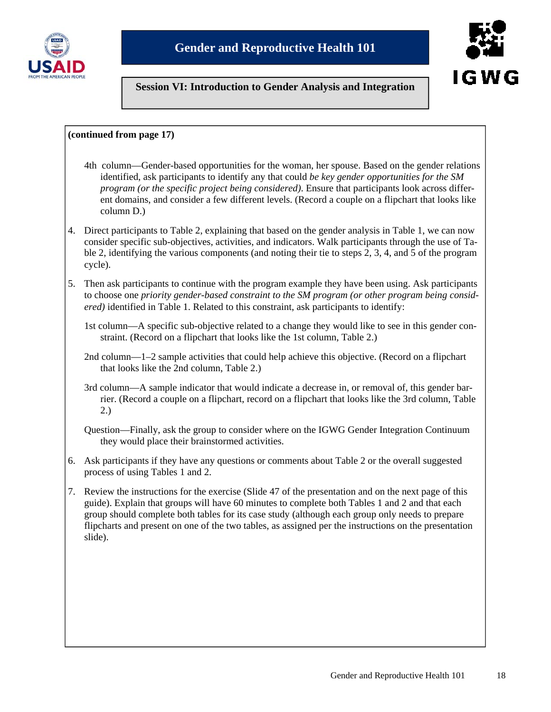



#### **(continued from page 17)**

- 4th column—Gender-based opportunities for the woman, her spouse. Based on the gender relations identified, ask participants to identify any that could *be key gender opportunities for the SM program (or the specific project being considered)*. Ensure that participants look across different domains, and consider a few different levels. (Record a couple on a flipchart that looks like column D.)
- 4. Direct participants to Table 2, explaining that based on the gender analysis in Table 1, we can now consider specific sub-objectives, activities, and indicators. Walk participants through the use of Table 2, identifying the various components (and noting their tie to steps 2, 3, 4, and 5 of the program cycle).
- 5. Then ask participants to continue with the program example they have been using. Ask participants to choose one *priority gender-based constraint to the SM program (or other program being considered)* identified in Table 1. Related to this constraint, ask participants to identify:
	- 1st column—A specific sub-objective related to a change they would like to see in this gender constraint. (Record on a flipchart that looks like the 1st column, Table 2.)
	- 2nd column—1–2 sample activities that could help achieve this objective. (Record on a flipchart that looks like the 2nd column, Table 2.)
	- 3rd column—A sample indicator that would indicate a decrease in, or removal of, this gender barrier. (Record a couple on a flipchart, record on a flipchart that looks like the 3rd column, Table 2.)
	- Question—Finally, ask the group to consider where on the IGWG Gender Integration Continuum they would place their brainstormed activities.
- 6. Ask participants if they have any questions or comments about Table 2 or the overall suggested process of using Tables 1 and 2.
- 7. Review the instructions for the exercise (Slide 47 of the presentation and on the next page of this guide). Explain that groups will have 60 minutes to complete both Tables 1 and 2 and that each group should complete both tables for its case study (although each group only needs to prepare flipcharts and present on one of the two tables, as assigned per the instructions on the presentation slide).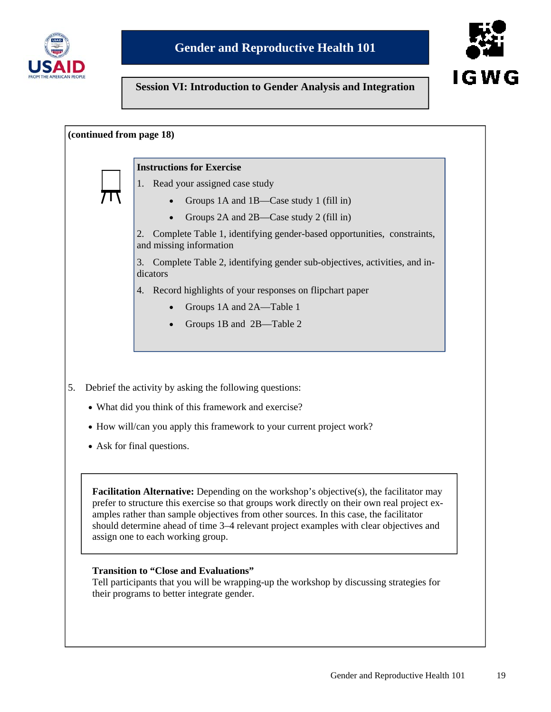



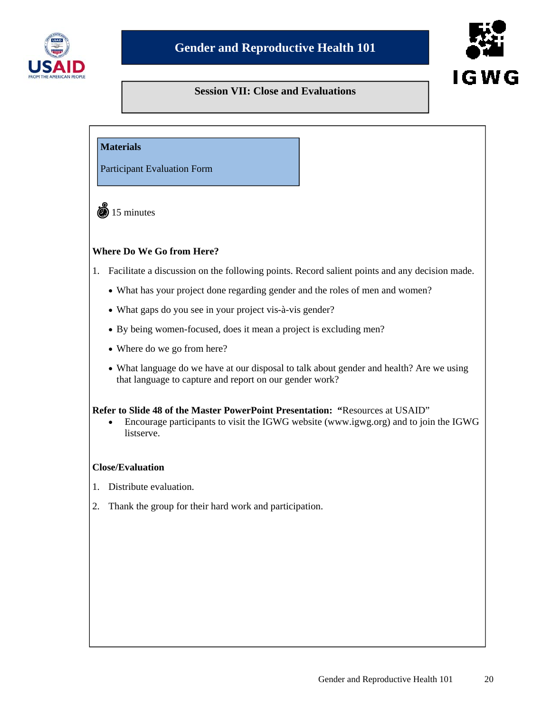

# **IGWG**

# **Session VII: Close and Evaluations**

#### **Materials**

Participant Evaluation Form

 $\ddot{\text{ } }$  15 minutes

#### **Where Do We Go from Here?**

- 1. Facilitate a discussion on the following points. Record salient points and any decision made.
	- What has your project done regarding gender and the roles of men and women?
	- What gaps do you see in your project vis-à-vis gender?
	- By being women-focused, does it mean a project is excluding men?
	- Where do we go from here?
	- What language do we have at our disposal to talk about gender and health? Are we using that language to capture and report on our gender work?

#### **Refer to Slide 48 of the Master PowerPoint Presentation: "**Resources at USAID"

• Encourage participants to visit the IGWG website (www.igwg.org) and to join the IGWG listserve.

#### **Close/Evaluation**

- 1. Distribute evaluation.
- 2. Thank the group for their hard work and participation.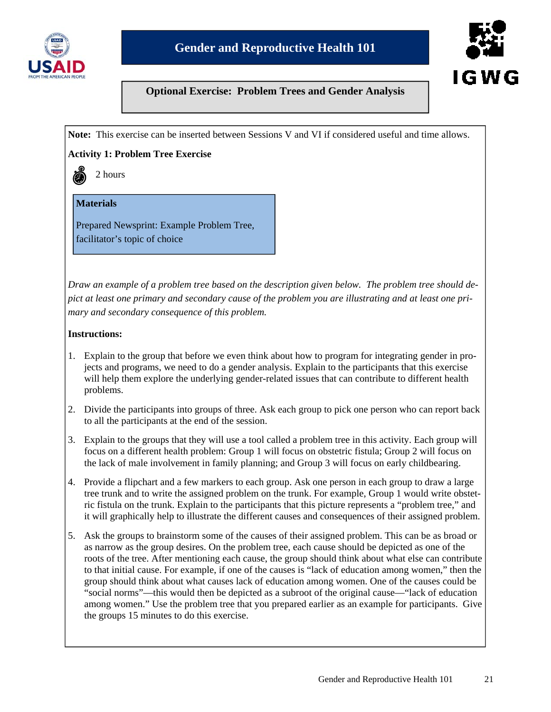



# **Optional Exercise: Problem Trees and Gender Analysis**

**Note:** This exercise can be inserted between Sessions V and VI if considered useful and time allows.

#### **Activity 1: Problem Tree Exercise**

2 hours

#### **Materials**

Prepared Newsprint: Example Problem Tree, facilitator's topic of choice

*Draw an example of a problem tree based on the description given below. The problem tree should depict at least one primary and secondary cause of the problem you are illustrating and at least one primary and secondary consequence of this problem.*

#### **Instructions:**

- 1. Explain to the group that before we even think about how to program for integrating gender in projects and programs, we need to do a gender analysis. Explain to the participants that this exercise will help them explore the underlying gender-related issues that can contribute to different health problems.
- 2. Divide the participants into groups of three. Ask each group to pick one person who can report back to all the participants at the end of the session.
- 3. Explain to the groups that they will use a tool called a problem tree in this activity. Each group will focus on a different health problem: Group 1 will focus on obstetric fistula; Group 2 will focus on the lack of male involvement in family planning; and Group 3 will focus on early childbearing.
- 4. Provide a flipchart and a few markers to each group. Ask one person in each group to draw a large tree trunk and to write the assigned problem on the trunk. For example, Group 1 would write obstetric fistula on the trunk. Explain to the participants that this picture represents a "problem tree," and it will graphically help to illustrate the different causes and consequences of their assigned problem.
- 5. Ask the groups to brainstorm some of the causes of their assigned problem. This can be as broad or as narrow as the group desires. On the problem tree, each cause should be depicted as one of the roots of the tree. After mentioning each cause, the group should think about what else can contribute to that initial cause. For example, if one of the causes is "lack of education among women," then the group should think about what causes lack of education among women. One of the causes could be "social norms"—this would then be depicted as a subroot of the original cause—"lack of education among women." Use the problem tree that you prepared earlier as an example for participants. Give the groups 15 minutes to do this exercise.